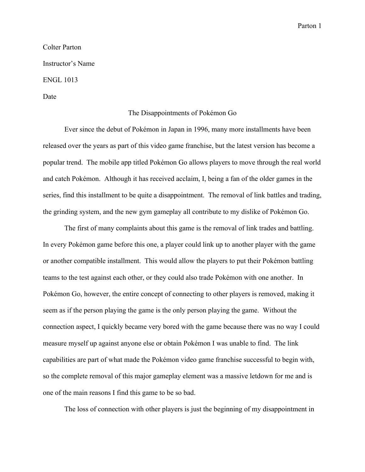Parton 1

## Colter Parton Instructor's Name ENGL 1013 Date

## The Disappointments of Pokémon Go

Ever since the debut of Pokémon in Japan in 1996, many more installments have been released over the years as part of this video game franchise, but the latest version has become a popular trend. The mobile app titled Pokémon Go allows players to move through the real world and catch Pokémon. Although it has received acclaim, I, being a fan of the older games in the series, find this installment to be quite a disappointment. The removal of link battles and trading, the grinding system, and the new gym gameplay all contribute to my dislike of Pokémon Go.

The first of many complaints about this game is the removal of link trades and battling. In every Pokémon game before this one, a player could link up to another player with the game or another compatible installment. This would allow the players to put their Pokémon battling teams to the test against each other, or they could also trade Pokémon with one another. In Pokémon Go, however, the entire concept of connecting to other players is removed, making it seem as if the person playing the game is the only person playing the game. Without the connection aspect, I quickly became very bored with the game because there was no way I could measure myself up against anyone else or obtain Pokémon I was unable to find. The link capabilities are part of what made the Pokémon video game franchise successful to begin with, so the complete removal of this major gameplay element was a massive letdown for me and is one of the main reasons I find this game to be so bad.

The loss of connection with other players is just the beginning of my disappointment in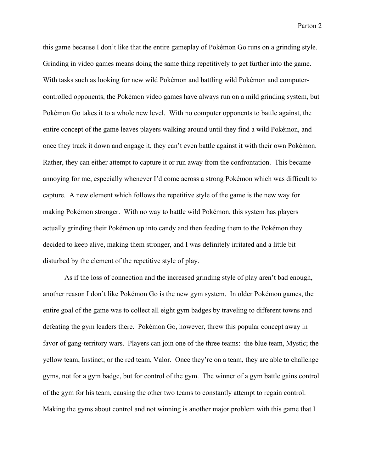Parton 2

this game because I don't like that the entire gameplay of Pokémon Go runs on a grinding style. Grinding in video games means doing the same thing repetitively to get further into the game. With tasks such as looking for new wild Pokémon and battling wild Pokémon and computercontrolled opponents, the Pokémon video games have always run on a mild grinding system, but Pokémon Go takes it to a whole new level. With no computer opponents to battle against, the entire concept of the game leaves players walking around until they find a wild Pokémon, and once they track it down and engage it, they can't even battle against it with their own Pokémon. Rather, they can either attempt to capture it or run away from the confrontation. This became annoying for me, especially whenever I'd come across a strong Pokémon which was difficult to capture. A new element which follows the repetitive style of the game is the new way for making Pokémon stronger. With no way to battle wild Pokémon, this system has players actually grinding their Pokémon up into candy and then feeding them to the Pokémon they decided to keep alive, making them stronger, and I was definitely irritated and a little bit disturbed by the element of the repetitive style of play.

As if the loss of connection and the increased grinding style of play aren't bad enough, another reason I don't like Pokémon Go is the new gym system. In older Pokémon games, the entire goal of the game was to collect all eight gym badges by traveling to different towns and defeating the gym leaders there. Pokémon Go, however, threw this popular concept away in favor of gang-territory wars. Players can join one of the three teams: the blue team, Mystic; the yellow team, Instinct; or the red team, Valor. Once they're on a team, they are able to challenge gyms, not for a gym badge, but for control of the gym. The winner of a gym battle gains control of the gym for his team, causing the other two teams to constantly attempt to regain control. Making the gyms about control and not winning is another major problem with this game that I